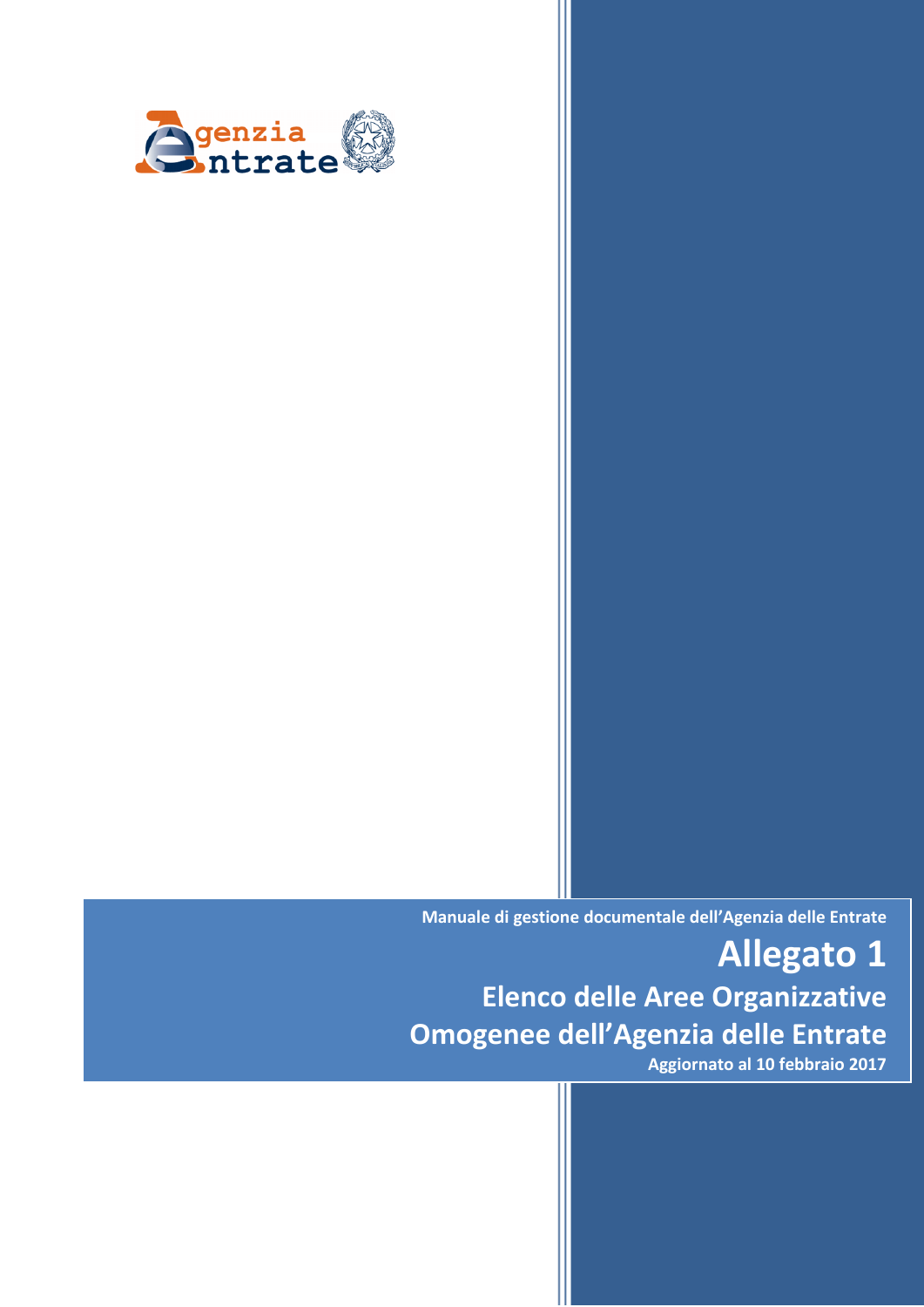

**Manuale di gestione documentale dell'Agenzia delle Entrate**

**Allegato 1 Elenco delle Aree Organizzative Omogenee dell'Agenzia delle Entrate**

**Aggiornato al 10 febbraio 2017**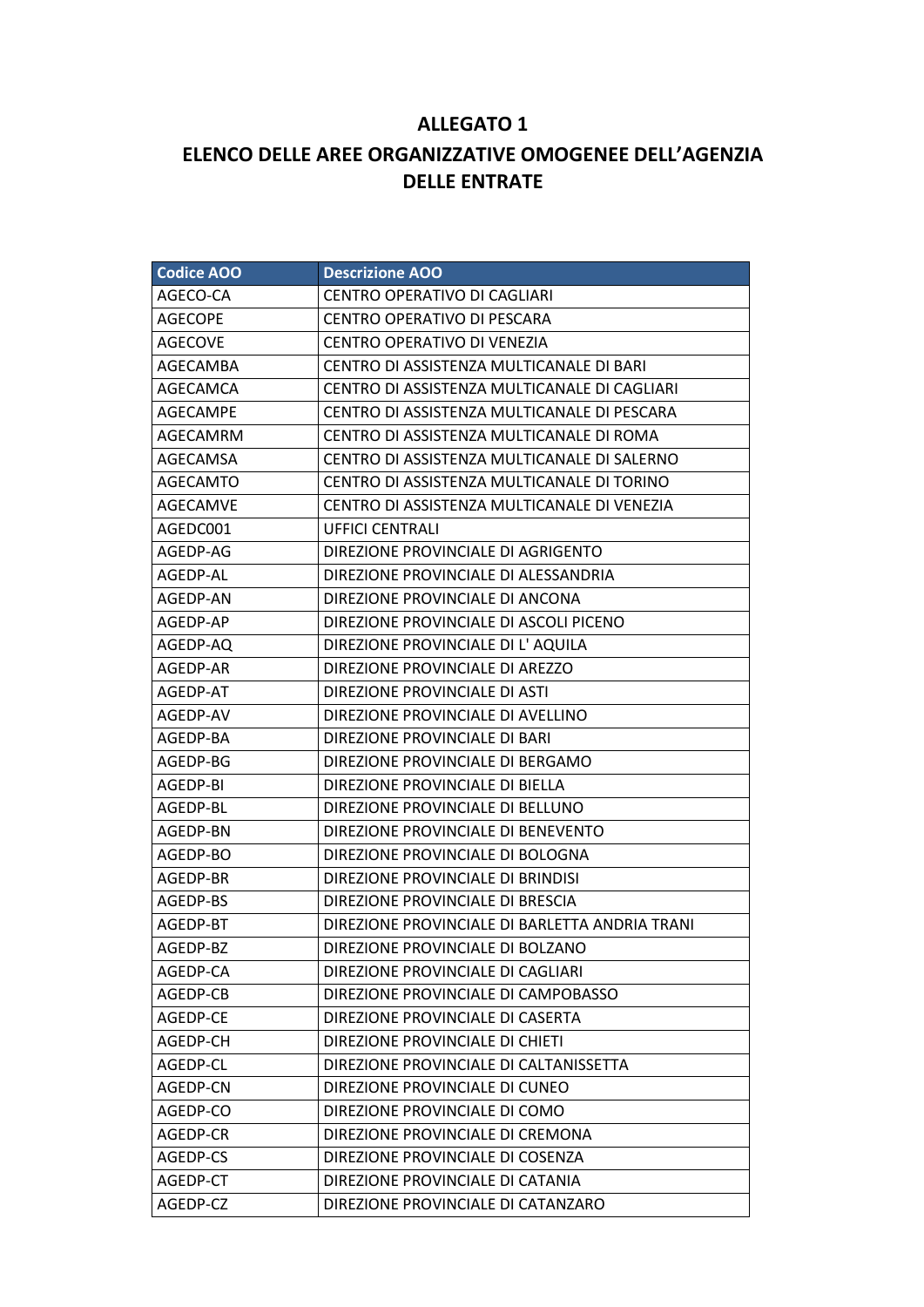## **ALLEGATO 1**

## **ELENCO DELLE AREE ORGANIZZATIVE OMOGENEE DELL'AGENZIA DELLE ENTRATE**

| <b>Codice AOO</b> | <b>Descrizione AOO</b>                         |
|-------------------|------------------------------------------------|
| AGECO-CA          | CENTRO OPERATIVO DI CAGLIARI                   |
| <b>AGECOPE</b>    | <b>CENTRO OPERATIVO DI PESCARA</b>             |
| <b>AGECOVE</b>    | CENTRO OPERATIVO DI VENEZIA                    |
| AGECAMBA          | CENTRO DI ASSISTENZA MULTICANALE DI BARI       |
| AGECAMCA          | CENTRO DI ASSISTENZA MULTICANALE DI CAGLIARI   |
| AGECAMPE          | CENTRO DI ASSISTENZA MULTICANALE DI PESCARA    |
| AGECAMRM          | CENTRO DI ASSISTENZA MULTICANALE DI ROMA       |
| AGECAMSA          | CENTRO DI ASSISTENZA MULTICANALE DI SALERNO    |
| AGECAMTO          | CENTRO DI ASSISTENZA MULTICANALE DI TORINO     |
| <b>AGECAMVE</b>   | CENTRO DI ASSISTENZA MULTICANALE DI VENEZIA    |
| AGEDC001          | <b>UFFICI CENTRALI</b>                         |
| AGEDP-AG          | DIREZIONE PROVINCIALE DI AGRIGENTO             |
| AGEDP-AL          | DIREZIONE PROVINCIALE DI ALESSANDRIA           |
| AGEDP-AN          | DIREZIONE PROVINCIALE DI ANCONA                |
| AGEDP-AP          | DIREZIONE PROVINCIALE DI ASCOLI PICENO         |
| AGEDP-AQ          | DIREZIONE PROVINCIALE DI L' AQUILA             |
| AGEDP-AR          | DIREZIONE PROVINCIALE DI AREZZO                |
| AGEDP-AT          | DIREZIONE PROVINCIALE DI ASTI                  |
| AGEDP-AV          | DIREZIONE PROVINCIALE DI AVELLINO              |
| AGEDP-BA          | DIREZIONE PROVINCIALE DI BARI                  |
| AGEDP-BG          | DIREZIONE PROVINCIALE DI BERGAMO               |
| AGEDP-BI          | DIREZIONE PROVINCIALE DI BIELLA                |
| AGEDP-BL          | DIREZIONE PROVINCIALE DI BELLUNO               |
| AGEDP-BN          | DIREZIONE PROVINCIALE DI BENEVENTO             |
| AGEDP-BO          | DIREZIONE PROVINCIALE DI BOLOGNA               |
| AGEDP-BR          | DIREZIONE PROVINCIALE DI BRINDISI              |
| AGEDP-BS          | DIREZIONE PROVINCIALE DI BRESCIA               |
| AGEDP-BT          | DIREZIONE PROVINCIALE DI BARLETTA ANDRIA TRANI |
| AGEDP-BZ          | DIREZIONE PROVINCIALE DI BOLZANO               |
| AGEDP-CA          | DIREZIONE PROVINCIALE DI CAGLIARI              |
| AGEDP-CB          | DIREZIONE PROVINCIALE DI CAMPOBASSO            |
| AGEDP-CE          | DIREZIONE PROVINCIALE DI CASERTA               |
| AGEDP-CH          | DIREZIONE PROVINCIALE DI CHIETI                |
| AGEDP-CL          | DIREZIONE PROVINCIALE DI CALTANISSETTA         |
| AGEDP-CN          | DIREZIONE PROVINCIALE DI CUNEO                 |
| AGEDP-CO          | DIREZIONE PROVINCIALE DI COMO                  |
| AGEDP-CR          | DIREZIONE PROVINCIALE DI CREMONA               |
| AGEDP-CS          | DIREZIONE PROVINCIALE DI COSENZA               |
| AGEDP-CT          | DIREZIONE PROVINCIALE DI CATANIA               |
| AGEDP-CZ          | DIREZIONE PROVINCIALE DI CATANZARO             |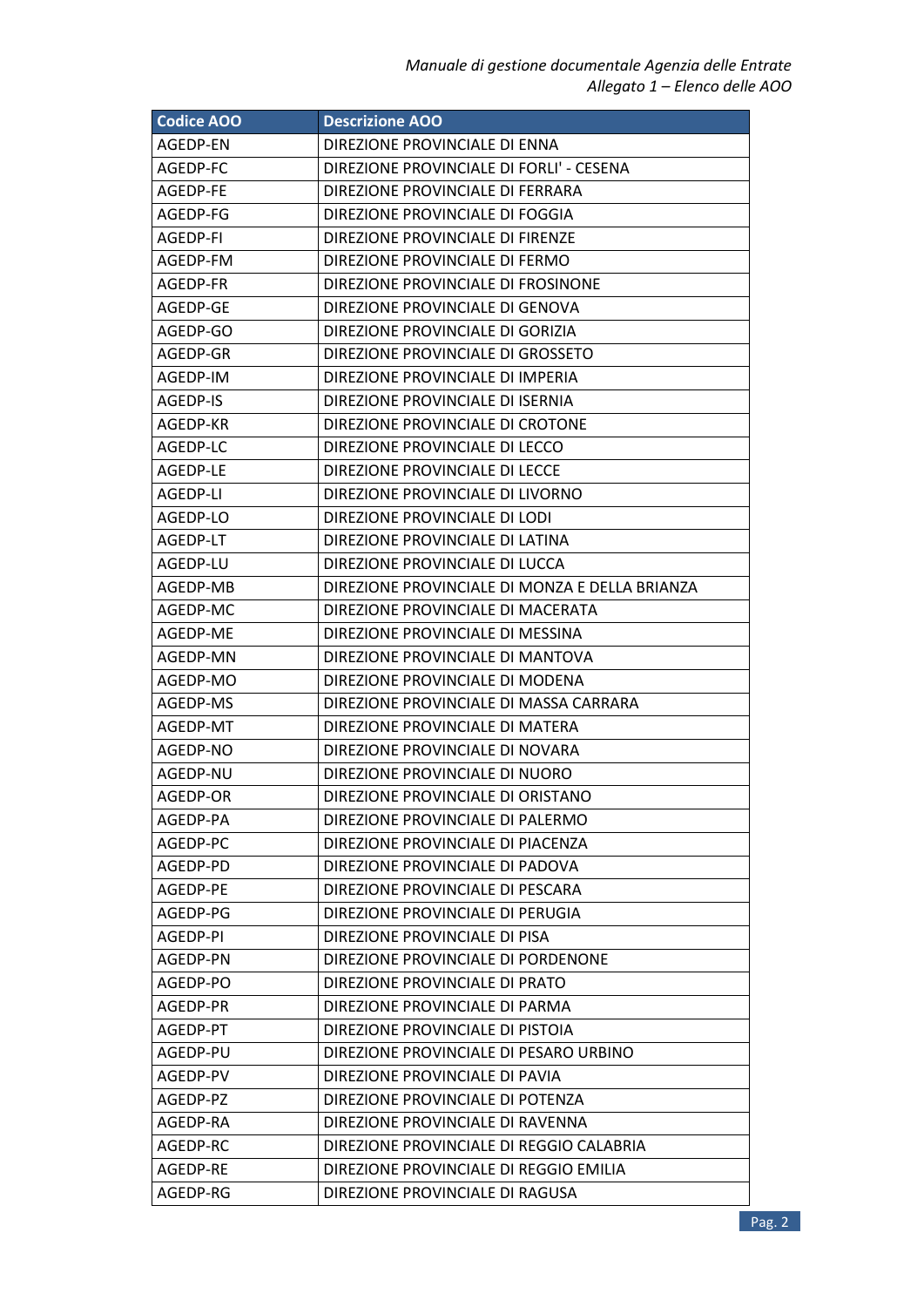| <b>Codice AOO</b> | <b>Descrizione AOO</b>                         |
|-------------------|------------------------------------------------|
| AGEDP-EN          | DIREZIONE PROVINCIALE DI ENNA                  |
| AGEDP-FC          | DIREZIONE PROVINCIALE DI FORLI' - CESENA       |
| AGEDP-FE          | DIREZIONE PROVINCIALE DI FERRARA               |
| AGEDP-FG          | DIREZIONE PROVINCIALE DI FOGGIA                |
| AGEDP-FI          | DIREZIONE PROVINCIALE DI FIRENZE               |
| AGEDP-FM          | DIREZIONE PROVINCIALE DI FERMO                 |
| AGEDP-FR          | DIREZIONE PROVINCIALE DI FROSINONE             |
| AGEDP-GE          | DIREZIONE PROVINCIALE DI GENOVA                |
| AGEDP-GO          | DIREZIONE PROVINCIALE DI GORIZIA               |
| AGEDP-GR          | DIREZIONE PROVINCIALE DI GROSSETO              |
| AGEDP-IM          | DIREZIONE PROVINCIALE DI IMPERIA               |
| AGEDP-IS          | DIREZIONE PROVINCIALE DI ISERNIA               |
| AGEDP-KR          | DIREZIONE PROVINCIALE DI CROTONE               |
| AGEDP-LC          | DIREZIONE PROVINCIALE DI LECCO                 |
| AGEDP-LE          | DIREZIONE PROVINCIALE DI LECCE                 |
| AGEDP-LI          | DIREZIONE PROVINCIALE DI LIVORNO               |
| AGEDP-LO          | DIREZIONE PROVINCIALE DI LODI                  |
| AGEDP-LT          | DIREZIONE PROVINCIALE DI LATINA                |
| AGEDP-LU          | DIREZIONE PROVINCIALE DI LUCCA                 |
| AGEDP-MB          | DIREZIONE PROVINCIALE DI MONZA E DELLA BRIANZA |
| AGEDP-MC          | DIREZIONE PROVINCIALE DI MACERATA              |
| AGEDP-ME          | DIREZIONE PROVINCIALE DI MESSINA               |
| AGEDP-MN          | DIREZIONE PROVINCIALE DI MANTOVA               |
| AGEDP-MO          | DIREZIONE PROVINCIALE DI MODENA                |
| AGEDP-MS          | DIREZIONE PROVINCIALE DI MASSA CARRARA         |
| AGEDP-MT          | DIREZIONE PROVINCIALE DI MATERA                |
| AGEDP-NO          | DIREZIONE PROVINCIALE DI NOVARA                |
| AGEDP-NU          | DIREZIONE PROVINCIALE DI NUORO                 |
| AGEDP-OR          | DIREZIONE PROVINCIALE DI ORISTANO              |
| AGEDP-PA          | DIREZIONE PROVINCIALE DI PALERMO               |
| AGEDP-PC          | DIREZIONE PROVINCIALE DI PIACENZA              |
| AGEDP-PD          | DIREZIONE PROVINCIALE DI PADOVA                |
| AGEDP-PE          | DIREZIONE PROVINCIALE DI PESCARA               |
| AGEDP-PG          | DIREZIONE PROVINCIALE DI PERUGIA               |
| AGEDP-PI          | DIREZIONE PROVINCIALE DI PISA                  |
| AGEDP-PN          | DIREZIONE PROVINCIALE DI PORDENONE             |
| AGEDP-PO          | DIREZIONE PROVINCIALE DI PRATO                 |
| AGEDP-PR          | DIREZIONE PROVINCIALE DI PARMA                 |
| AGEDP-PT          | DIREZIONE PROVINCIALE DI PISTOIA               |
| AGEDP-PU          | DIREZIONE PROVINCIALE DI PESARO URBINO         |
| AGEDP-PV          | DIREZIONE PROVINCIALE DI PAVIA                 |
| AGEDP-PZ          | DIREZIONE PROVINCIALE DI POTENZA               |
| AGEDP-RA          | DIREZIONE PROVINCIALE DI RAVENNA               |
| AGEDP-RC          | DIREZIONE PROVINCIALE DI REGGIO CALABRIA       |
| AGEDP-RE          | DIREZIONE PROVINCIALE DI REGGIO EMILIA         |
| AGEDP-RG          | DIREZIONE PROVINCIALE DI RAGUSA                |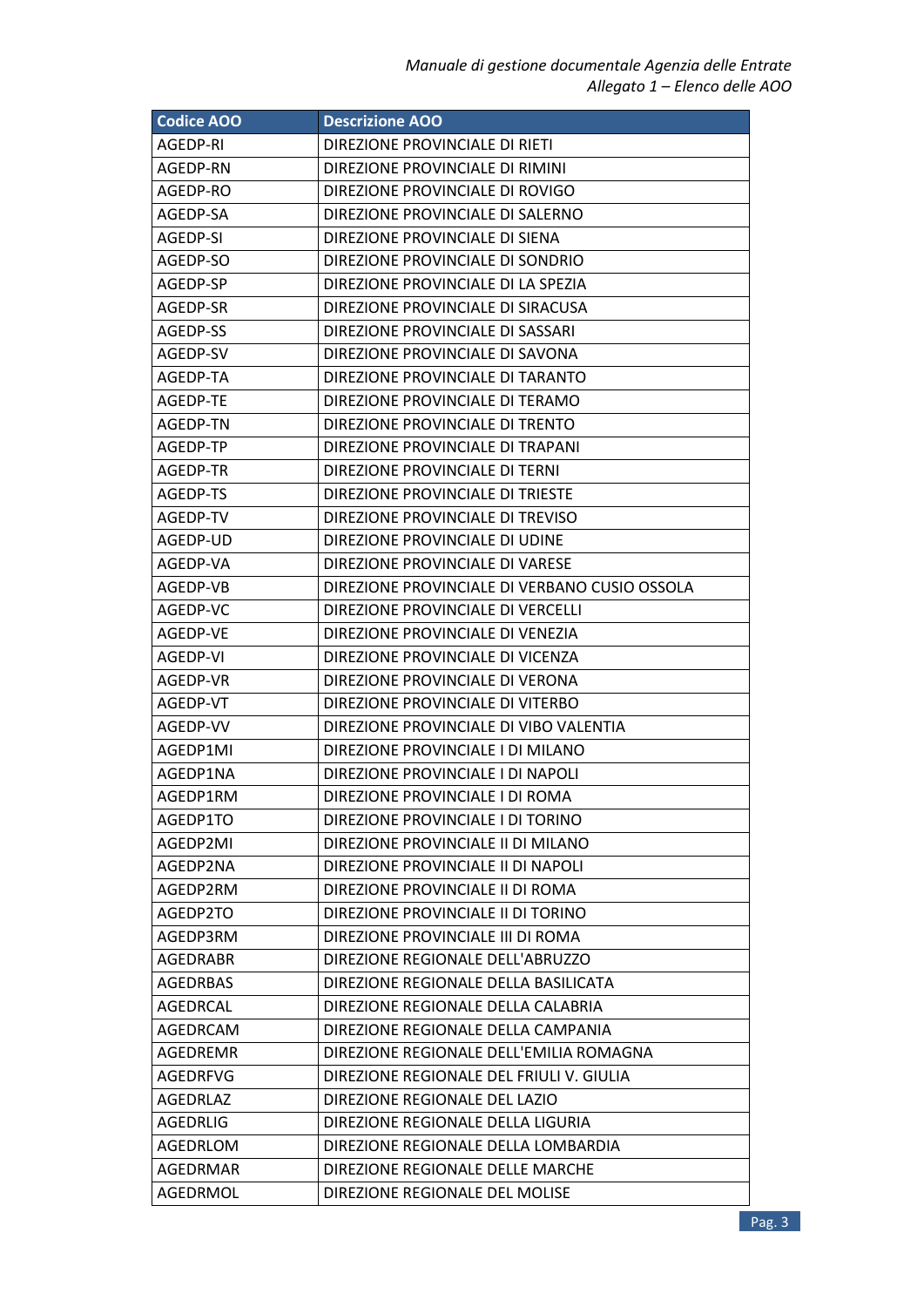| <b>Codice AOO</b> | <b>Descrizione AOO</b>                        |
|-------------------|-----------------------------------------------|
| AGEDP-RI          | DIREZIONE PROVINCIALE DI RIETI                |
| AGEDP-RN          | DIREZIONE PROVINCIALE DI RIMINI               |
| AGEDP-RO          | DIREZIONE PROVINCIALE DI ROVIGO               |
| AGEDP-SA          | DIREZIONE PROVINCIALE DI SALERNO              |
| AGEDP-SI          | DIREZIONE PROVINCIALE DI SIENA                |
| AGEDP-SO          | DIREZIONE PROVINCIALE DI SONDRIO              |
| AGEDP-SP          | DIREZIONE PROVINCIALE DI LA SPEZIA            |
| AGEDP-SR          | DIREZIONE PROVINCIALE DI SIRACUSA             |
| AGEDP-SS          | DIREZIONE PROVINCIALE DI SASSARI              |
| AGEDP-SV          | DIREZIONE PROVINCIALE DI SAVONA               |
| AGEDP-TA          | DIREZIONE PROVINCIALE DI TARANTO              |
| AGEDP-TE          | DIREZIONE PROVINCIALE DI TERAMO               |
| AGEDP-TN          | DIREZIONE PROVINCIALE DI TRENTO               |
| AGEDP-TP          | DIREZIONE PROVINCIALE DI TRAPANI              |
| AGEDP-TR          | DIREZIONE PROVINCIALE DI TERNI                |
| AGEDP-TS          | DIREZIONE PROVINCIALE DI TRIESTE              |
| AGEDP-TV          | DIREZIONE PROVINCIALE DI TREVISO              |
| AGEDP-UD          | DIREZIONE PROVINCIALE DI UDINE                |
| AGEDP-VA          | DIREZIONE PROVINCIALE DI VARESE               |
| AGEDP-VB          | DIREZIONE PROVINCIALE DI VERBANO CUSIO OSSOLA |
| AGEDP-VC          | DIREZIONE PROVINCIALE DI VERCELLI             |
| AGEDP-VE          | DIREZIONE PROVINCIALE DI VENEZIA              |
| AGEDP-VI          | DIREZIONE PROVINCIALE DI VICENZA              |
| AGEDP-VR          | DIREZIONE PROVINCIALE DI VERONA               |
| AGEDP-VT          | DIREZIONE PROVINCIALE DI VITERBO              |
| AGEDP-VV          | DIREZIONE PROVINCIALE DI VIBO VALENTIA        |
| AGEDP1MI          | DIREZIONE PROVINCIALE I DI MILANO             |
| AGEDP1NA          | DIREZIONE PROVINCIALE I DI NAPOLI             |
| AGEDP1RM          | DIREZIONE PROVINCIALE I DI ROMA               |
| AGEDP1TO          | DIREZIONE PROVINCIALE I DI TORINO             |
| AGEDP2MI          | DIREZIONE PROVINCIALE II DI MILANO            |
| AGEDP2NA          | DIREZIONE PROVINCIALE II DI NAPOLI            |
| AGEDP2RM          | DIREZIONE PROVINCIALE II DI ROMA              |
| AGEDP2TO          | DIREZIONE PROVINCIALE II DI TORINO            |
| AGEDP3RM          | DIREZIONE PROVINCIALE III DI ROMA             |
| <b>AGEDRABR</b>   | DIREZIONE REGIONALE DELL'ABRUZZO              |
| <b>AGEDRBAS</b>   | DIREZIONE REGIONALE DELLA BASILICATA          |
| AGEDRCAL          | DIREZIONE REGIONALE DELLA CALABRIA            |
| AGEDRCAM          | DIREZIONE REGIONALE DELLA CAMPANIA            |
| AGEDREMR          | DIREZIONE REGIONALE DELL'EMILIA ROMAGNA       |
| <b>AGEDRFVG</b>   | DIREZIONE REGIONALE DEL FRIULI V. GIULIA      |
| AGEDRLAZ          | DIREZIONE REGIONALE DEL LAZIO                 |
| <b>AGEDRLIG</b>   | DIREZIONE REGIONALE DELLA LIGURIA             |
| AGEDRLOM          | DIREZIONE REGIONALE DELLA LOMBARDIA           |
| AGEDRMAR          | DIREZIONE REGIONALE DELLE MARCHE              |
| AGEDRMOL          | DIREZIONE REGIONALE DEL MOLISE                |